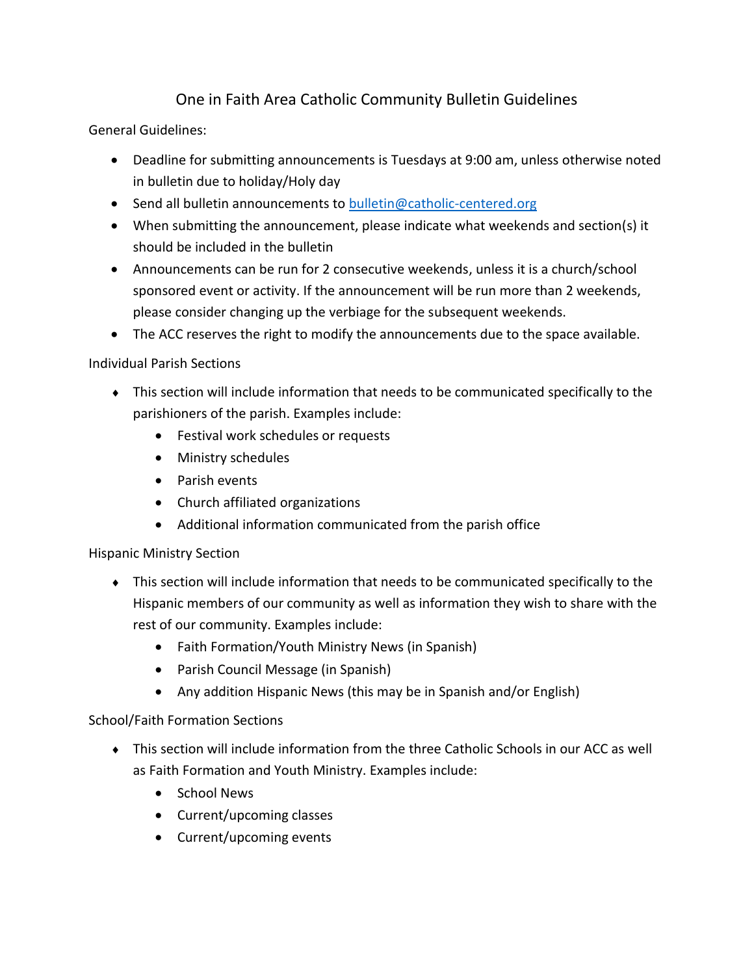## One in Faith Area Catholic Community Bulletin Guidelines

General Guidelines:

- Deadline for submitting announcements is Tuesdays at 9:00 am, unless otherwise noted in bulletin due to holiday/Holy day
- Send all bulletin announcements to [bulletin@catholic-centered.org](mailto:bulletin@catholic-centered.org)
- When submitting the announcement, please indicate what weekends and section(s) it should be included in the bulletin
- Announcements can be run for 2 consecutive weekends, unless it is a church/school sponsored event or activity. If the announcement will be run more than 2 weekends, please consider changing up the verbiage for the subsequent weekends.
- The ACC reserves the right to modify the announcements due to the space available.

Individual Parish Sections

- This section will include information that needs to be communicated specifically to the parishioners of the parish. Examples include:
	- Festival work schedules or requests
	- Ministry schedules
	- Parish events
	- Church affiliated organizations
	- Additional information communicated from the parish office

Hispanic Ministry Section

- This section will include information that needs to be communicated specifically to the Hispanic members of our community as well as information they wish to share with the rest of our community. Examples include:
	- Faith Formation/Youth Ministry News (in Spanish)
	- Parish Council Message (in Spanish)
	- Any addition Hispanic News (this may be in Spanish and/or English)

## School/Faith Formation Sections

- This section will include information from the three Catholic Schools in our ACC as well as Faith Formation and Youth Ministry. Examples include:
	- School News
	- Current/upcoming classes
	- Current/upcoming events